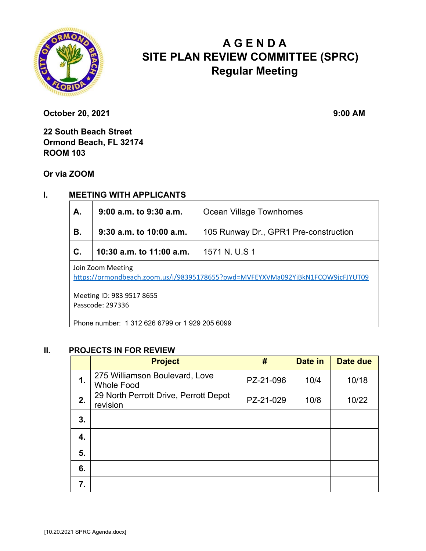

# **A G E N D A SITE PLAN REVIEW COMMITTEE (SPRC) Regular Meeting**

**October 20, 2021** 9:00 AM

**22 South Beach Street Ormond Beach, FL 32174 ROOM 103** 

**Or via ZOOM**

### **I. MEETING WITH APPLICANTS**

| <b>A.</b> | 9:00 a.m. to 9:30 a.m.                   | <b>Ocean Village Townhomes</b>                                      |  |  |
|-----------|------------------------------------------|---------------------------------------------------------------------|--|--|
| В.        |                                          | 9:30 $a.m.$ to 10:00 $a.m.$   105 Runway Dr., GPR1 Pre-construction |  |  |
| C.        | 10:30 a.m. to 11:00 a.m.   1571 N. U.S 1 |                                                                     |  |  |
| .         |                                          |                                                                     |  |  |

Join Zoom Meeting

https://ormondbeach.zoom.us/j/98395178655?pwd=MVFEYXVMa092YjBkN1FCOW9jcFJYUT09

Meeting ID: 983 9517 8655 Passcode: 297336

Phone number: 1 312 626 6799 or 1 929 205 6099

#### **II. PROJECTS IN FOR REVIEW**

|    | <b>Project</b>                                      | #         | Date in | Date due |
|----|-----------------------------------------------------|-----------|---------|----------|
| 1. | 275 Williamson Boulevard, Love<br><b>Whole Food</b> | PZ-21-096 | 10/4    | 10/18    |
| 2. | 29 North Perrott Drive, Perrott Depot<br>revision   | PZ-21-029 | 10/8    | 10/22    |
| 3. |                                                     |           |         |          |
| 4. |                                                     |           |         |          |
| 5. |                                                     |           |         |          |
| 6. |                                                     |           |         |          |
| 7. |                                                     |           |         |          |